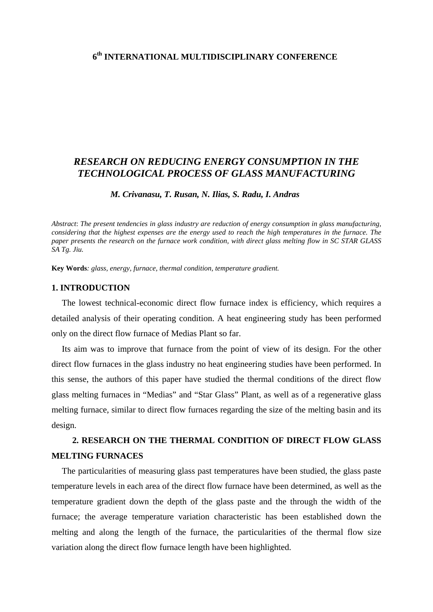## **6th INTERNATIONAL MULTIDISCIPLINARY CONFERENCE**

## *RESEARCH ON REDUCING ENERGY CONSUMPTION IN THE TECHNOLOGICAL PROCESS OF GLASS MANUFACTURING*

 *M. Crivanasu, T. Rusan, N. Ilias, S. Radu, I. Andras* 

*Abstract*: *The present tendencies in glass industry are reduction of energy consumption in glass manufacturing, considering that the highest expenses are the energy used to reach the high temperatures in the furnace. The paper presents the research on the furnace work condition, with direct glass melting flow in SC STAR GLASS SA Tg. Jiu.* 

**Key Words***: glass, energy, furnace, thermal condition, temperature gradient.* 

#### **1. INTRODUCTION**

The lowest technical-economic direct flow furnace index is efficiency, which requires a detailed analysis of their operating condition. A heat engineering study has been performed only on the direct flow furnace of Medias Plant so far.

Its aim was to improve that furnace from the point of view of its design. For the other direct flow furnaces in the glass industry no heat engineering studies have been performed. In this sense, the authors of this paper have studied the thermal conditions of the direct flow glass melting furnaces in "Medias" and "Star Glass" Plant, as well as of a regenerative glass melting furnace, similar to direct flow furnaces regarding the size of the melting basin and its design.

# **2. RESEARCH ON THE THERMAL CONDITION OF DIRECT FLOW GLASS MELTING FURNACES**

 The particularities of measuring glass past temperatures have been studied, the glass paste temperature levels in each area of the direct flow furnace have been determined, as well as the temperature gradient down the depth of the glass paste and the through the width of the furnace; the average temperature variation characteristic has been established down the melting and along the length of the furnace, the particularities of the thermal flow size variation along the direct flow furnace length have been highlighted.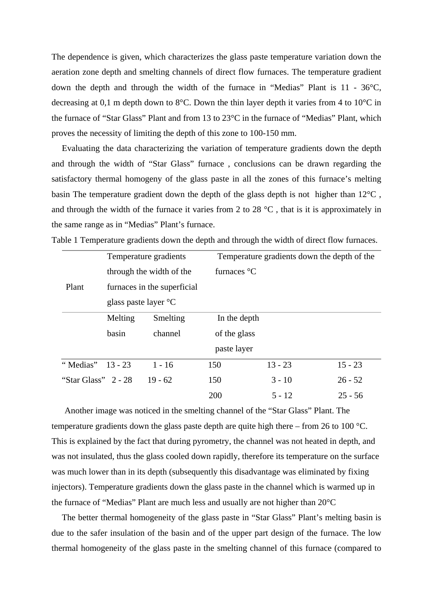The dependence is given, which characterizes the glass paste temperature variation down the aeration zone depth and smelting channels of direct flow furnaces. The temperature gradient down the depth and through the width of the furnace in "Medias" Plant is 11 - 36°C, decreasing at 0,1 m depth down to 8°C. Down the thin layer depth it varies from 4 to 10°C in the furnace of "Star Glass" Plant and from 13 to 23°C in the furnace of "Medias" Plant, which proves the necessity of limiting the depth of this zone to 100-150 mm.

 Evaluating the data characterizing the variation of temperature gradients down the depth and through the width of "Star Glass" furnace , conclusions can be drawn regarding the satisfactory thermal homogeny of the glass paste in all the zones of this furnace's melting basin The temperature gradient down the depth of the glass depth is not higher than 12°C , and through the width of the furnace it varies from 2 to 28  $^{\circ}$ C, that is it is approximately in the same range as in "Medias" Plant's furnace.

| Temperature gradients |                                                                  |                                | Temperature gradients down the depth of the |                       |           |  |
|-----------------------|------------------------------------------------------------------|--------------------------------|---------------------------------------------|-----------------------|-----------|--|
|                       | through the width of the<br>Plant<br>furnaces in the superficial |                                |                                             | furnaces $\mathrm{C}$ |           |  |
|                       |                                                                  |                                |                                             |                       |           |  |
|                       |                                                                  | glass paste layer $\mathrm{C}$ |                                             |                       |           |  |
|                       | Melting                                                          | Smelting                       |                                             | In the depth          |           |  |
|                       | basin                                                            | channel                        | of the glass                                |                       |           |  |
|                       |                                                                  |                                |                                             | paste layer           |           |  |
| "Medias"              | $13 - 23$                                                        | $1 - 16$                       | 150                                         | $13 - 23$             | $15 - 23$ |  |
| "Star Glass" $2 - 28$ |                                                                  | $19 - 62$                      | 150                                         | $3 - 10$              | $26 - 52$ |  |
|                       |                                                                  |                                | 200                                         | $5 - 12$              | $25 - 56$ |  |

Table 1 Temperature gradients down the depth and through the width of direct flow furnaces.

 Another image was noticed in the smelting channel of the "Star Glass" Plant. The temperature gradients down the glass paste depth are quite high there – from 26 to 100 °C. This is explained by the fact that during pyrometry, the channel was not heated in depth, and was not insulated, thus the glass cooled down rapidly, therefore its temperature on the surface was much lower than in its depth (subsequently this disadvantage was eliminated by fixing injectors). Temperature gradients down the glass paste in the channel which is warmed up in the furnace of "Medias" Plant are much less and usually are not higher than 20°C

 The better thermal homogeneity of the glass paste in "Star Glass" Plant's melting basin is due to the safer insulation of the basin and of the upper part design of the furnace. The low thermal homogeneity of the glass paste in the smelting channel of this furnace (compared to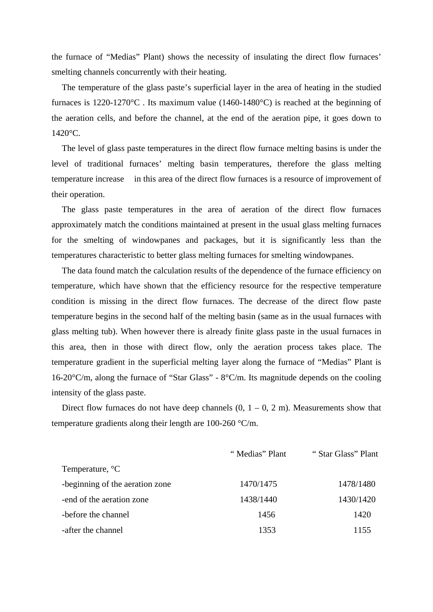the furnace of "Medias" Plant) shows the necessity of insulating the direct flow furnaces' smelting channels concurrently with their heating.

 The temperature of the glass paste's superficial layer in the area of heating in the studied furnaces is 1220-1270°C . Its maximum value (1460-1480°C) is reached at the beginning of the aeration cells, and before the channel, at the end of the aeration pipe, it goes down to 1420°C.

 The level of glass paste temperatures in the direct flow furnace melting basins is under the level of traditional furnaces' melting basin temperatures, therefore the glass melting temperature increase in this area of the direct flow furnaces is a resource of improvement of their operation.

 The glass paste temperatures in the area of aeration of the direct flow furnaces approximately match the conditions maintained at present in the usual glass melting furnaces for the smelting of windowpanes and packages, but it is significantly less than the temperatures characteristic to better glass melting furnaces for smelting windowpanes.

 The data found match the calculation results of the dependence of the furnace efficiency on temperature, which have shown that the efficiency resource for the respective temperature condition is missing in the direct flow furnaces. The decrease of the direct flow paste temperature begins in the second half of the melting basin (same as in the usual furnaces with glass melting tub). When however there is already finite glass paste in the usual furnaces in this area, then in those with direct flow, only the aeration process takes place. The temperature gradient in the superficial melting layer along the furnace of "Medias" Plant is 16-20°C/m, along the furnace of "Star Glass" - 8°C/m. Its magnitude depends on the cooling intensity of the glass paste.

Direct flow furnaces do not have deep channels  $(0, 1 - 0, 2, m)$ . Measurements show that temperature gradients along their length are 100-260 °C/m.

|                                 | "Medias" Plant | "Star Glass" Plant |
|---------------------------------|----------------|--------------------|
| Temperature, <sup>o</sup> C     |                |                    |
| -beginning of the aeration zone | 1470/1475      | 1478/1480          |
| -end of the aeration zone       | 1438/1440      | 1430/1420          |
| -before the channel             | 1456           | 1420               |
| -after the channel              | 1353           | 1155               |